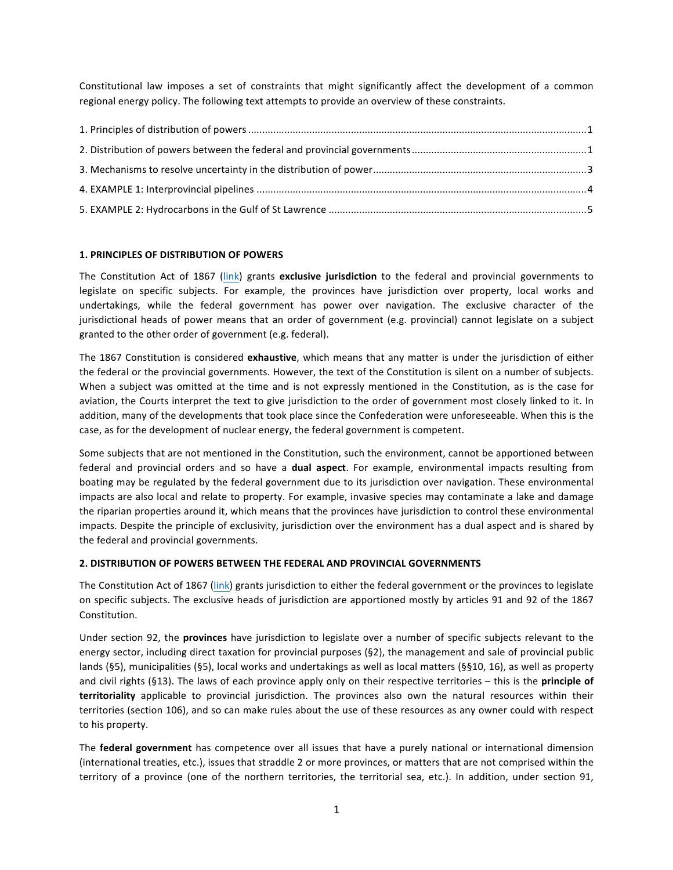Constitutional law imposes a set of constraints that might significantly affect the development of a common regional energy policy. The following text attempts to provide an overview of these constraints.

#### **1. PRINCIPLES OF DISTRIBUTION OF POWERS**

The Constitution Act of 1867 (link) grants exclusive jurisdiction to the federal and provincial governments to legislate on specific subjects. For example, the provinces have jurisdiction over property, local works and undertakings, while the federal government has power over navigation. The exclusive character of the jurisdictional heads of power means that an order of government (e.g. provincial) cannot legislate on a subject granted to the other order of government (e.g. federal).

The 1867 Constitution is considered *exhaustive*, which means that any matter is under the jurisdiction of either the federal or the provincial governments. However, the text of the Constitution is silent on a number of subjects. When a subject was omitted at the time and is not expressly mentioned in the Constitution, as is the case for aviation, the Courts interpret the text to give jurisdiction to the order of government most closely linked to it. In addition, many of the developments that took place since the Confederation were unforeseeable. When this is the case, as for the development of nuclear energy, the federal government is competent.

Some subjects that are not mentioned in the Constitution, such the environment, cannot be apportioned between federal and provincial orders and so have a **dual aspect**. For example, environmental impacts resulting from boating may be regulated by the federal government due to its jurisdiction over navigation. These environmental impacts are also local and relate to property. For example, invasive species may contaminate a lake and damage the riparian properties around it, which means that the provinces have jurisdiction to control these environmental impacts. Despite the principle of exclusivity, jurisdiction over the environment has a dual aspect and is shared by the federal and provincial governments.

## **2. DISTRIBUTION OF POWERS BETWEEN THE FEDERAL AND PROVINCIAL GOVERNMENTS**

The Constitution Act of 1867 (link) grants jurisdiction to either the federal government or the provinces to legislate on specific subjects. The exclusive heads of jurisdiction are apportioned mostly by articles 91 and 92 of the 1867 Constitution.

Under section 92, the **provinces** have jurisdiction to legislate over a number of specific subjects relevant to the energy sector, including direct taxation for provincial purposes  $(S2)$ , the management and sale of provincial public lands (§5), municipalities (§5), local works and undertakings as well as local matters (§§10, 16), as well as property and civil rights (§13). The laws of each province apply only on their respective territories – this is the **principle of territoriality** applicable to provincial jurisdiction. The provinces also own the natural resources within their territories (section 106), and so can make rules about the use of these resources as any owner could with respect to his property.

The **federal government** has competence over all issues that have a purely national or international dimension (international treaties, etc.), issues that straddle 2 or more provinces, or matters that are not comprised within the territory of a province (one of the northern territories, the territorial sea, etc.). In addition, under section 91,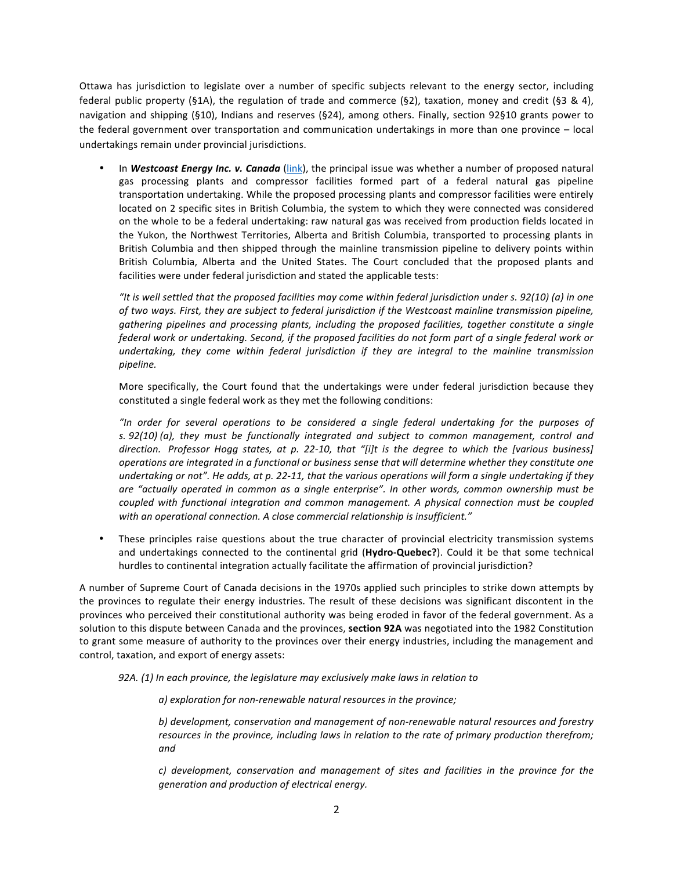Ottawa has jurisdiction to legislate over a number of specific subjects relevant to the energy sector, including federal public property (§1A), the regulation of trade and commerce (§2), taxation, money and credit (§3 & 4), navigation and shipping (§10), Indians and reserves (§24), among others. Finally, section 92§10 grants power to the federal government over transportation and communication undertakings in more than one province  $-$  local undertakings remain under provincial jurisdictions.

In *Westcoast Energy Inc. v. Canada* (link), the principal issue was whether a number of proposed natural gas processing plants and compressor facilities formed part of a federal natural gas pipeline transportation undertaking. While the proposed processing plants and compressor facilities were entirely located on 2 specific sites in British Columbia, the system to which they were connected was considered on the whole to be a federal undertaking: raw natural gas was received from production fields located in the Yukon, the Northwest Territories, Alberta and British Columbia, transported to processing plants in British Columbia and then shipped through the mainline transmission pipeline to delivery points within British Columbia, Alberta and the United States. The Court concluded that the proposed plants and facilities were under federal jurisdiction and stated the applicable tests:

"It is well settled that the proposed facilities may come within federal jurisdiction under *s.* 92(10) (a) in one of two ways. First, they are subject to federal jurisdiction if the Westcoast mainline transmission pipeline, *gathering pipelines and processing plants, including the proposed facilities, together constitute a single federal* work or undertaking. Second, if the proposed facilities do not form part of a single federal work or undertaking, they come within federal jurisdiction if they are integral to the mainline transmission *pipeline.*

More specifically, the Court found that the undertakings were under federal jurisdiction because they constituted a single federal work as they met the following conditions:

*"In order for several operations to be considered a single federal undertaking for the purposes of s.* 92(10) (a), they must be functionally integrated and subject to common management, control and *direction.* Professor Hogg states, at p. 22-10, that "[i]t is the degree to which the [various business] *operations are integrated in a functional or business sense that will determine whether they constitute one undertaking* or not". He adds, at p. 22-11, that the various operations will form a single undertaking if they *are* "actually operated in common as a single enterprise". In other words, common ownership must be *coupled with functional integration and common management. A physical connection must be coupled*  with an operational connection. A close commercial relationship is insufficient."

• These principles raise questions about the true character of provincial electricity transmission systems and undertakings connected to the continental grid (Hydro-Quebec?). Could it be that some technical hurdles to continental integration actually facilitate the affirmation of provincial jurisdiction?

A number of Supreme Court of Canada decisions in the 1970s applied such principles to strike down attempts by the provinces to regulate their energy industries. The result of these decisions was significant discontent in the provinces who perceived their constitutional authority was being eroded in favor of the federal government. As a solution to this dispute between Canada and the provinces, section 92A was negotiated into the 1982 Constitution to grant some measure of authority to the provinces over their energy industries, including the management and control, taxation, and export of energy assets:

**92A.** (1) In each province, the legislature may exclusively make laws in relation to

a) exploration for non-renewable natural resources in the province;

b) development, conservation and management of non-renewable natural resources and forestry *resources in the province, including laws in relation to the rate of primary production therefrom; and*

*c*) development, conservation and management of sites and facilities in the province for the *generation and production of electrical energy.*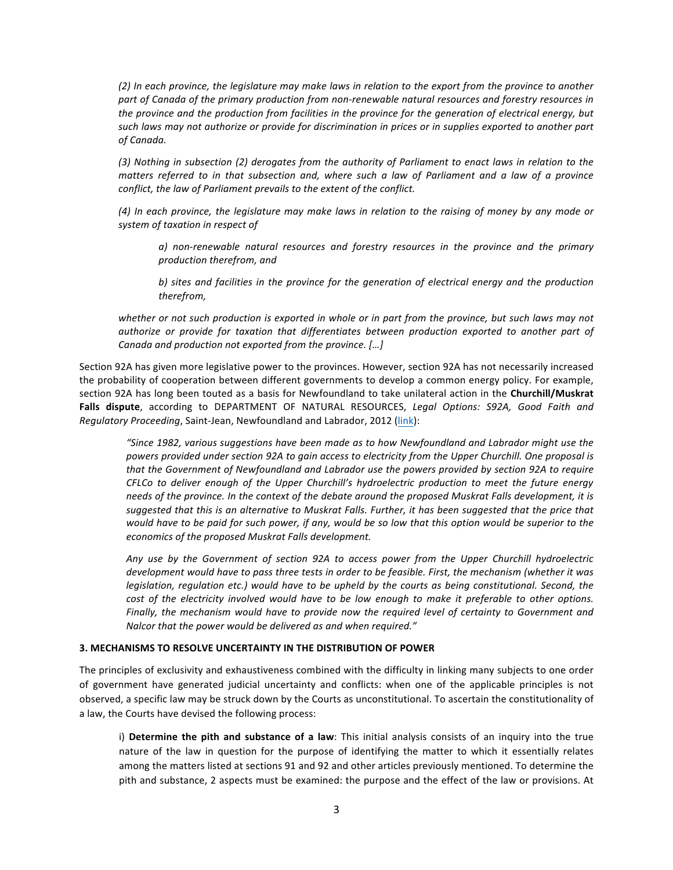(2) In each province, the legislature may make laws in relation to the export from the province to another part of Canada of the primary production from non-renewable natural resources and forestry resources in *the province and the production from facilities in the province for the generation of electrical energy, but* such laws may not authorize or provide for discrimination in prices or in supplies exported to another part *of Canada.*

(3) Nothing in subsection (2) derogates from the authority of Parliament to enact laws in relation to the *matters referred to in that subsection and, where such a law of Parliament and a law of a province conflict, the law of Parliament prevails to the extent of the conflict.* 

(4) In each province, the legislature may make laws in relation to the raising of money by any mode or *system of taxation in respect of*

*a*) non-renewable natural resources and forestry resources in the province and the primary *production therefrom, and*

*b)* sites and facilities in the province for the generation of electrical energy and the production *therefrom,*

whether or not such production is exported in whole or in part from the province, but such laws may not *authorize* or provide for taxation that differentiates between production exported to another part of *Canada and production not exported from the province.* [...]

Section 92A has given more legislative power to the provinces. However, section 92A has not necessarily increased the probability of cooperation between different governments to develop a common energy policy. For example, section 92A has long been touted as a basis for Newfoundland to take unilateral action in the **Churchill/Muskrat** Falls dispute, according to DEPARTMENT OF NATURAL RESOURCES, Legal Options: S92A, Good Faith and *Requlatory Proceeding*, Saint-Jean, Newfoundland and Labrador, 2012 (link):

*"Since 1982, various suggestions have been made as to how Newfoundland and Labrador might use the*  powers provided under section 92A to gain access to electricity from the Upper Churchill. One proposal is *that the Government of Newfoundland and Labrador use the powers provided by section 92A to require CFLCo to deliver enough of the Upper Churchill's hydroelectric production to meet the future energy* needs of the province. In the context of the debate around the proposed Muskrat Falls development, it is suggested that this is an alternative to Muskrat Falls. Further, it has been suggested that the price that *would have to be paid for such power, if any, would be so low that this option would be superior to the* economics of the proposed Muskrat Falls development.

*Any* use by the Government of section 92A to access power from the Upper Churchill hydroelectric *development would have to pass three tests in order to be feasible. First, the mechanism (whether it was legislation, regulation etc.)* would have to be upheld by the courts as being constitutional. Second, the *cost* of the electricity involved would have to be low enough to make it preferable to other options. *Finally, the mechanism would have to provide now the required level of certainty to Government and Nalcor* that the power would be delivered as and when required."

## **3. MECHANISMS TO RESOLVE UNCERTAINTY IN THE DISTRIBUTION OF POWER**

The principles of exclusivity and exhaustiveness combined with the difficulty in linking many subjects to one order of government have generated judicial uncertainty and conflicts: when one of the applicable principles is not observed, a specific law may be struck down by the Courts as unconstitutional. To ascertain the constitutionality of a law, the Courts have devised the following process:

i) Determine the pith and substance of a law: This initial analysis consists of an inquiry into the true nature of the law in question for the purpose of identifying the matter to which it essentially relates among the matters listed at sections 91 and 92 and other articles previously mentioned. To determine the pith and substance, 2 aspects must be examined: the purpose and the effect of the law or provisions. At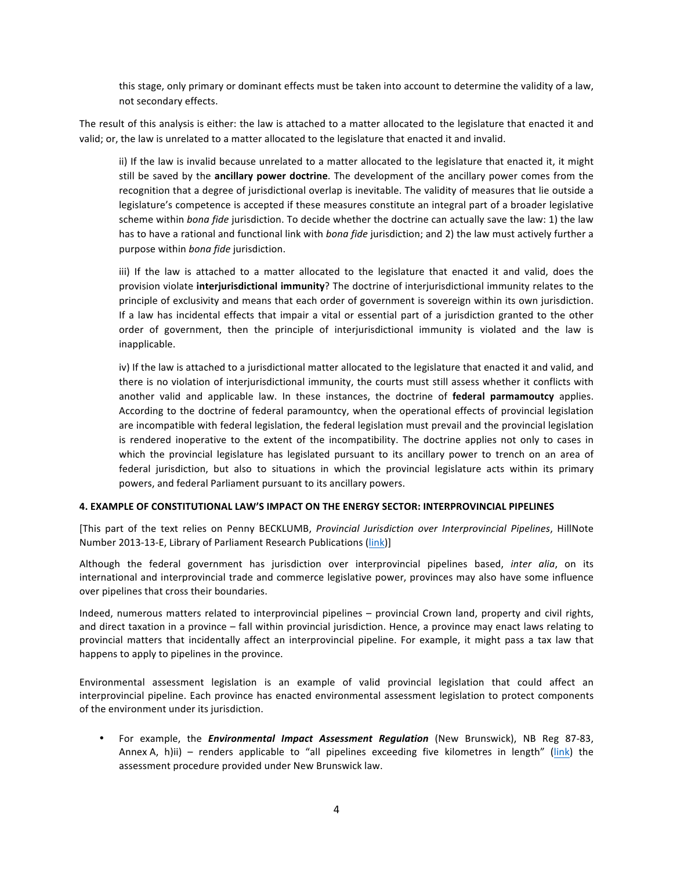this stage, only primary or dominant effects must be taken into account to determine the validity of a law, not secondary effects.

The result of this analysis is either: the law is attached to a matter allocated to the legislature that enacted it and valid; or, the law is unrelated to a matter allocated to the legislature that enacted it and invalid.

ii) If the law is invalid because unrelated to a matter allocated to the legislature that enacted it, it might still be saved by the **ancillary power doctrine**. The development of the ancillary power comes from the recognition that a degree of jurisdictional overlap is inevitable. The validity of measures that lie outside a legislature's competence is accepted if these measures constitute an integral part of a broader legislative scheme within *bona fide* jurisdiction. To decide whether the doctrine can actually save the law: 1) the law has to have a rational and functional link with *bona fide* jurisdiction; and 2) the law must actively further a purpose within *bona fide* jurisdiction.

iii) If the law is attached to a matter allocated to the legislature that enacted it and valid, does the provision violate **interjurisdictional immunity**? The doctrine of interjurisdictional immunity relates to the principle of exclusivity and means that each order of government is sovereign within its own jurisdiction. If a law has incidental effects that impair a vital or essential part of a jurisdiction granted to the other order of government, then the principle of interjurisdictional immunity is violated and the law is inapplicable.

iv) If the law is attached to a jurisdictional matter allocated to the legislature that enacted it and valid, and there is no violation of interjurisdictional immunity, the courts must still assess whether it conflicts with another valid and applicable law. In these instances, the doctrine of **federal parmamoutcy** applies. According to the doctrine of federal paramountcy, when the operational effects of provincial legislation are incompatible with federal legislation, the federal legislation must prevail and the provincial legislation is rendered inoperative to the extent of the incompatibility. The doctrine applies not only to cases in which the provincial legislature has legislated pursuant to its ancillary power to trench on an area of federal jurisdiction, but also to situations in which the provincial legislature acts within its primary powers, and federal Parliament pursuant to its ancillary powers.

#### **4. EXAMPLE OF CONSTITUTIONAL LAW'S IMPACT ON THE ENERGY SECTOR: INTERPROVINCIAL PIPELINES**

[This part of the text relies on Penny BECKLUMB, *Provincial Jurisdiction over Interprovincial Pipelines*, HillNote Number 2013-13-E, Library of Parliament Research Publications (link)]

Although the federal government has jurisdiction over interprovincial pipelines based, *inter alia*, on its international and interprovincial trade and commerce legislative power, provinces may also have some influence over pipelines that cross their boundaries.

Indeed, numerous matters related to interprovincial pipelines – provincial Crown land, property and civil rights, and direct taxation in a province – fall within provincial jurisdiction. Hence, a province may enact laws relating to provincial matters that incidentally affect an interprovincial pipeline. For example, it might pass a tax law that happens to apply to pipelines in the province.

Environmental assessment legislation is an example of valid provincial legislation that could affect an interprovincial pipeline. Each province has enacted environmental assessment legislation to protect components of the environment under its jurisdiction.

For example, the *Environmental Impact Assessment Requlation* (New Brunswick), NB Reg 87-83, Annex A, h)ii) – renders applicable to "all pipelines exceeding five kilometres in length" (link) the assessment procedure provided under New Brunswick law.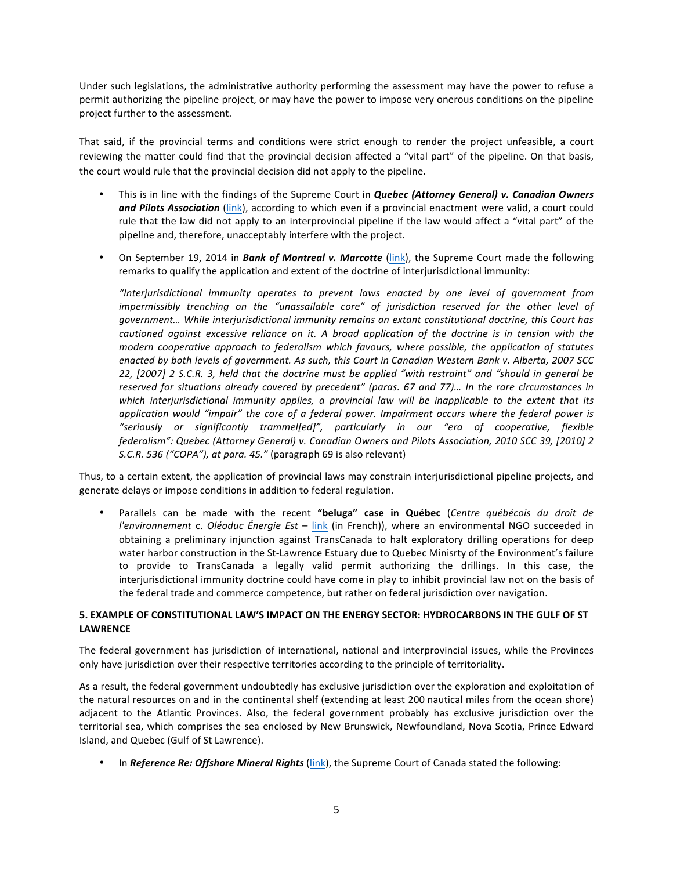Under such legislations, the administrative authority performing the assessment may have the power to refuse a permit authorizing the pipeline project, or may have the power to impose very onerous conditions on the pipeline project further to the assessment.

That said, if the provincial terms and conditions were strict enough to render the project unfeasible, a court reviewing the matter could find that the provincial decision affected a "vital part" of the pipeline. On that basis, the court would rule that the provincial decision did not apply to the pipeline.

- This is in line with the findings of the Supreme Court in *Quebec (Attorney General) v. Canadian Owners* and Pilots Association (link), according to which even if a provincial enactment were valid, a court could rule that the law did not apply to an interprovincial pipeline if the law would affect a "vital part" of the pipeline and, therefore, unacceptably interfere with the project.
- On September 19, 2014 in *Bank of Montreal v. Marcotte* (link), the Supreme Court made the following remarks to qualify the application and extent of the doctrine of interjurisdictional immunity:

*"Interjurisdictional immunity operates to prevent laws enacted by one level of government from impermissibly* trenching on the "unassailable core" of jurisdiction reserved for the other level of government... While interjurisdictional *immunity remains an extant constitutional doctrine, this Court has cautioned against excessive reliance on it.* A broad application of the doctrine is in tension with the *modern* cooperative approach to federalism which favours, where possible, the application of statutes *enacted by both levels of government. As such, this Court in Canadian Western Bank v. Alberta, 2007 SCC*  22, [2007] 2 S.C.R. 3, held that the doctrine must be applied "with restraint" and "should in general be reserved for situations already covered by precedent" (paras. 67 and 77)... In the rare circumstances in which interjurisdictional immunity applies, a provincial law will be inapplicable to the extent that its *application* would "impair" the core of a federal power. Impairment occurs where the federal power is *"seriously or significantly trammel[ed]", particularly in our "era of cooperative, flexible federalism": Quebec (Attorney General)* v. Canadian Owners and Pilots Association, 2010 SCC 39, [2010] 2 *S.C.R.* 536 *("COPA"), at para.* 45." (paragraph 69 is also relevant)

Thus, to a certain extent, the application of provincial laws may constrain interjurisdictional pipeline projects, and generate delays or impose conditions in addition to federal regulation.

Parallels can be made with the recent "beluga" case in Québec (Centre québécois du droit de *l'environnement* c. *Oléoduc Énergie Est* – link (in French)), where an environmental NGO succeeded in obtaining a preliminary injunction against TransCanada to halt exploratory drilling operations for deep water harbor construction in the St-Lawrence Estuary due to Quebec Minisrty of the Environment's failure to provide to TransCanada a legally valid permit authorizing the drillings. In this case, the interjurisdictional immunity doctrine could have come in play to inhibit provincial law not on the basis of the federal trade and commerce competence, but rather on federal jurisdiction over navigation.

# **5. EXAMPLE OF CONSTITUTIONAL LAW'S IMPACT ON THE ENERGY SECTOR: HYDROCARBONS IN THE GULF OF ST LAWRENCE**

The federal government has jurisdiction of international, national and interprovincial issues, while the Provinces only have jurisdiction over their respective territories according to the principle of territoriality.

As a result, the federal government undoubtedly has exclusive jurisdiction over the exploration and exploitation of the natural resources on and in the continental shelf (extending at least 200 nautical miles from the ocean shore) adjacent to the Atlantic Provinces. Also, the federal government probably has exclusive jurisdiction over the territorial sea, which comprises the sea enclosed by New Brunswick, Newfoundland, Nova Scotia, Prince Edward Island, and Quebec (Gulf of St Lawrence).

In *Reference Re: Offshore Mineral Rights* (link), the Supreme Court of Canada stated the following: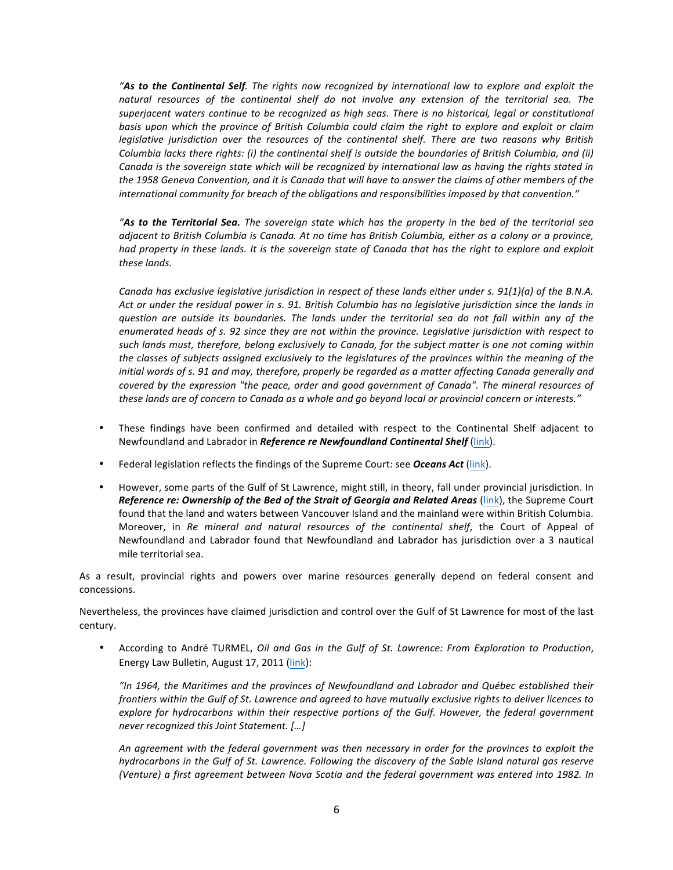**"As to the Continental Self**. The rights now recognized by international law to explore and exploit the natural resources of the continental shelf do not involve any extension of the territorial sea. The superjacent waters continue to be recognized as high seas. There is no historical, legal or constitutional basis upon which the province of British Columbia could claim the right to explore and exploit or claim *legislative jurisdiction over the resources of the continental shelf. There are two reasons why British Columbia lacks there rights: (i) the continental shelf is outside the boundaries of British Columbia, and (ii) Canada* is the sovereign state which will be recognized by international law as having the rights stated in the 1958 Geneva Convention, and it is Canada that will have to answer the claims of other members of the international community for breach of the obligations and responsibilities imposed by that convention."

"As to the Territorial Sea. The sovereign state which has the property in the bed of the territorial sea *adjacent to British Columbia is Canada.* At no time has British Columbia, either as a colony or a province, *had* property in these lands. It is the sovereign state of Canada that has the right to explore and exploit *these lands.*

*Canada has exclusive legislative jurisdiction in respect of these lands either under s. 91(1)(a) of the B.N.A.* Act or under the residual power in s. 91. British Columbia has no legislative jurisdiction since the lands in *question are outside its boundaries. The lands under the territorial sea do not fall within any of the*  enumerated heads of s. 92 since they are not within the province. Legislative jurisdiction with respect to such lands must, therefore, belong exclusively to Canada, for the subject matter is one not coming within the classes of subjects assigned exclusively to the legislatures of the provinces within the meaning of the *initial* words of s. 91 and may, therefore, properly be regarded as a matter affecting Canada generally and *covered* by the expression "the peace, order and good government of Canada". The mineral resources of these lands are of concern to Canada as a whole and go beyond local or provincial concern or interests."

- These findings have been confirmed and detailed with respect to the Continental Shelf adjacent to Newfoundland and Labrador in *Reference re Newfoundland Continental Shelf* (link).
- Federal legislation reflects the findings of the Supreme Court: see **Oceans Act** (link).
- However, some parts of the Gulf of St Lawrence, might still, in theory, fall under provincial jurisdiction. In *Reference re: Ownership of the Bed of the Strait of Georgia and Related Areas* (*link*), the Supreme Court found that the land and waters between Vancouver Island and the mainland were within British Columbia. Moreover, in *Re mineral and natural resources of the continental shelf*, the Court of Appeal of Newfoundland and Labrador found that Newfoundland and Labrador has jurisdiction over a 3 nautical mile territorial sea.

As a result, provincial rights and powers over marine resources generally depend on federal consent and concessions.

Nevertheless, the provinces have claimed jurisdiction and control over the Gulf of St Lawrence for most of the last century.

• According to André TURMEL, *Oil and Gas in the Gulf of St. Lawrence: From Exploration to Production*, Energy Law Bulletin, August 17, 2011 (link):

*"In 1964, the Maritimes and the provinces of Newfoundland and Labrador and Québec established their frontiers* within the Gulf of St. Lawrence and agreed to have mutually exclusive rights to deliver licences to explore for hydrocarbons within their respective portions of the Gulf. However, the federal government *never recognized this Joint Statement.* [...]

An agreement with the federal government was then necessary in order for the provinces to exploit the *hydrocarbons in the Gulf of St. Lawrence. Following the discovery of the Sable Island natural gas reserve (Venture)* a first agreement between Nova Scotia and the federal government was entered into 1982. In